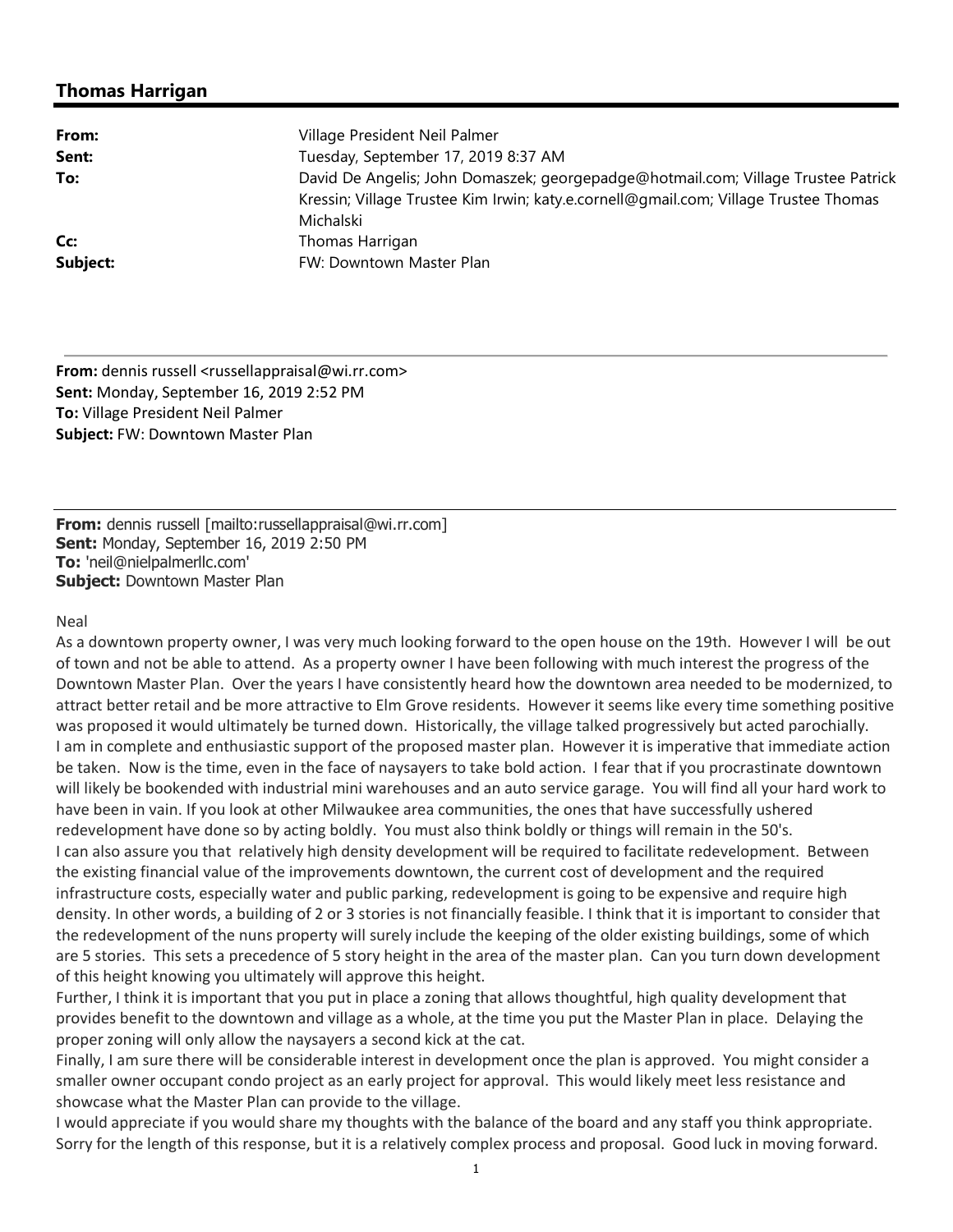## **Thomas Harrigan**

| From:    | Village President Neil Palmer                                                        |
|----------|--------------------------------------------------------------------------------------|
| Sent:    | Tuesday, September 17, 2019 8:37 AM                                                  |
| To:      | David De Angelis; John Domaszek; georgepadge@hotmail.com; Village Trustee Patrick    |
|          | Kressin; Village Trustee Kim Irwin; katy.e.cornell@gmail.com; Village Trustee Thomas |
|          | Michalski                                                                            |
| Cc:      | Thomas Harrigan                                                                      |
| Subject: | FW: Downtown Master Plan                                                             |

**From:** dennis russell <russellappraisal@wi.rr.com> **Sent:** Monday, September 16, 2019 2:52 PM **To:** Village President Neil Palmer **Subject:** FW: Downtown Master Plan

**From:** dennis russell [mailto:russellappraisal@wi.rr.com] **Sent:** Monday, September 16, 2019 2:50 PM **To:** 'neil@nielpalmerllc.com' **Subject:** Downtown Master Plan

## Neal

As a downtown property owner, I was very much looking forward to the open house on the 19th. However I will be out of town and not be able to attend. As a property owner I have been following with much interest the progress of the Downtown Master Plan. Over the years I have consistently heard how the downtown area needed to be modernized, to attract better retail and be more attractive to Elm Grove residents. However it seems like every time something positive was proposed it would ultimately be turned down. Historically, the village talked progressively but acted parochially. I am in complete and enthusiastic support of the proposed master plan. However it is imperative that immediate action be taken. Now is the time, even in the face of naysayers to take bold action. I fear that if you procrastinate downtown will likely be bookended with industrial mini warehouses and an auto service garage. You will find all your hard work to have been in vain. If you look at other Milwaukee area communities, the ones that have successfully ushered redevelopment have done so by acting boldly. You must also think boldly or things will remain in the 50's. I can also assure you that relatively high density development will be required to facilitate redevelopment. Between the existing financial value of the improvements downtown, the current cost of development and the required infrastructure costs, especially water and public parking, redevelopment is going to be expensive and require high density. In other words, a building of 2 or 3 stories is not financially feasible. I think that it is important to consider that the redevelopment of the nuns property will surely include the keeping of the older existing buildings, some of which are 5 stories. This sets a precedence of 5 story height in the area of the master plan. Can you turn down development of this height knowing you ultimately will approve this height.

Further, I think it is important that you put in place a zoning that allows thoughtful, high quality development that provides benefit to the downtown and village as a whole, at the time you put the Master Plan in place. Delaying the proper zoning will only allow the naysayers a second kick at the cat.

Finally, I am sure there will be considerable interest in development once the plan is approved. You might consider a smaller owner occupant condo project as an early project for approval. This would likely meet less resistance and showcase what the Master Plan can provide to the village.

I would appreciate if you would share my thoughts with the balance of the board and any staff you think appropriate. Sorry for the length of this response, but it is a relatively complex process and proposal. Good luck in moving forward.